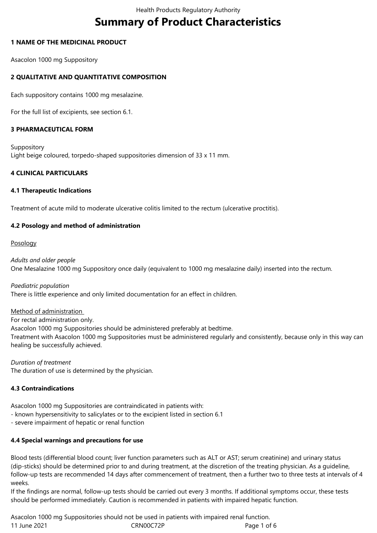# **Summary of Product Characteristics**

## **1 NAME OF THE MEDICINAL PRODUCT**

Asacolon 1000 mg Suppository

## **2 QUALITATIVE AND QUANTITATIVE COMPOSITION**

Each suppository contains 1000 mg mesalazine.

For the full list of excipients, see section 6.1.

#### **3 PHARMACEUTICAL FORM**

Suppository Light beige coloured, torpedo-shaped suppositories dimension of 33 x 11 mm.

## **4 CLINICAL PARTICULARS**

#### **4.1 Therapeutic Indications**

Treatment of acute mild to moderate ulcerative colitis limited to the rectum (ulcerative proctitis).

#### **4.2 Posology and method of administration**

#### Posology

*Adults and older people* One Mesalazine 1000 mg Suppository once daily (equivalent to 1000 mg mesalazine daily) inserted into the rectum.

*Paediatric population* There is little experience and only limited documentation for an effect in children.

#### Method of administration

For rectal administration only.

Asacolon 1000 mg Suppositories should be administered preferably at bedtime.

Treatment with Asacolon 1000 mg Suppositories must be administered regularly and consistently, because only in this way can healing be successfully achieved.

*Duration of treatment* The duration of use is determined by the physician.

#### **4.3 Contraindications**

Asacolon 1000 mg Suppositories are contraindicated in patients with:

- known hypersensitivity to salicylates or to the excipient listed in section 6.1
- severe impairment of hepatic or renal function

#### **4.4 Special warnings and precautions for use**

Blood tests (differential blood count; liver function parameters such as ALT or AST; serum creatinine) and urinary status (dip-sticks) should be determined prior to and during treatment, at the discretion of the treating physician. As a guideline, follow-up tests are recommended 14 days after commencement of treatment, then a further two to three tests at intervals of 4 weeks.

If the findings are normal, follow-up tests should be carried out every 3 months. If additional symptoms occur, these tests should be performed immediately. Caution is recommended in patients with impaired hepatic function.

11 June 2021 **CRNOOCT2P** CRNOOCT2P Page 1 of 6 Asacolon 1000 mg Suppositories should not be used in patients with impaired renal function.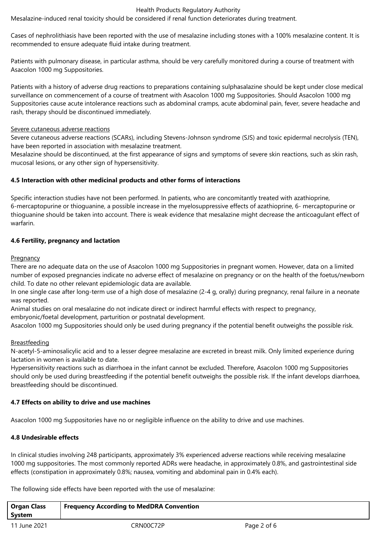#### Health Products Regulatory Authority

Mesalazine-induced renal toxicity should be considered if renal function deteriorates during treatment.

Cases of nephrolithiasis have been reported with the use of mesalazine including stones with a 100% mesalazine content. It is recommended to ensure adequate fluid intake during treatment.

Patients with pulmonary disease, in particular asthma, should be very carefully monitored during a course of treatment with Asacolon 1000 mg Suppositories.

Patients with a history of adverse drug reactions to preparations containing sulphasalazine should be kept under close medical surveillance on commencement of a course of treatment with Asacolon 1000 mg Suppositories. Should Asacolon 1000 mg Suppositories cause acute intolerance reactions such as abdominal cramps, acute abdominal pain, fever, severe headache and rash, therapy should be discontinued immediately.

#### Severe cutaneous adverse reactions

Severe cutaneous adverse reactions (SCARs), including Stevens-Johnson syndrome (SJS) and toxic epidermal necrolysis (TEN), have been reported in association with mesalazine treatment.

Mesalazine should be discontinued, at the first appearance of signs and symptoms of severe skin reactions, such as skin rash, mucosal lesions, or any other sign of hypersensitivity.

#### **4.5 Interaction with other medicinal products and other forms of interactions**

Specific interaction studies have not been performed. In patients, who are concomitantly treated with azathioprine, 6-mercaptopurine or thioguanine, a possible increase in the myelosuppressive effects of azathioprine, 6- mercaptopurine or thioguanine should be taken into account. There is weak evidence that mesalazine might decrease the anticoagulant effect of warfarin.

#### **4.6 Fertility, pregnancy and lactation**

#### **Pregnancy**

There are no adequate data on the use of Asacolon 1000 mg Suppositories in pregnant women. However, data on a limited number of exposed pregnancies indicate no adverse effect of mesalazine on pregnancy or on the health of the foetus/newborn child. To date no other relevant epidemiologic data are available.

In one single case after long-term use of a high dose of mesalazine (2-4 g, orally) during pregnancy, renal failure in a neonate was reported.

Animal studies on oral mesalazine do not indicate direct or indirect harmful effects with respect to pregnancy, embryonic/foetal development, parturition or postnatal development.

Asacolon 1000 mg Suppositories should only be used during pregnancy if the potential benefit outweighs the possible risk.

#### **Breastfeeding**

N-acetyl-5-aminosalicylic acid and to a lesser degree mesalazine are excreted in breast milk. Only limited experience during lactation in women is available to date.

Hypersensitivity reactions such as diarrhoea in the infant cannot be excluded. Therefore, Asacolon 1000 mg Suppositories should only be used during breastfeeding if the potential benefit outweighs the possible risk. If the infant develops diarrhoea, breastfeeding should be discontinued.

#### **4.7 Effects on ability to drive and use machines**

Asacolon 1000 mg Suppositories have no or negligible influence on the ability to drive and use machines.

#### **4.8 Undesirable effects**

In clinical studies involving 248 participants, approximately 3% experienced adverse reactions while receiving mesalazine 1000 mg suppositories. The most commonly reported ADRs were headache, in approximately 0.8%, and gastrointestinal side effects (constipation in approximately 0.8%; nausea, vomiting and abdominal pain in 0.4% each).

The following side effects have been reported with the use of mesalazine:

| <b>Organ Class</b><br>System | <b>Frequency According to MedDRA Convention</b> |             |  |
|------------------------------|-------------------------------------------------|-------------|--|
| 11 June 2021                 | CRN00C72P                                       | Page 2 of 6 |  |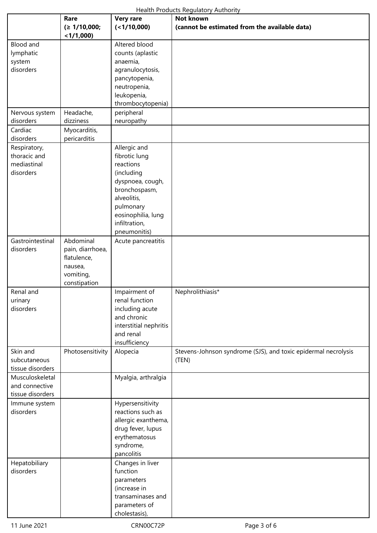|                                                          | Rare<br>(≥ 1/10,000;<br>< 1/1,000                                                    | <b>Very rare</b><br>$($ < 1/10,000)                                                                                                                                              | <b>Not known</b><br>(cannot be estimated from the available data)       |
|----------------------------------------------------------|--------------------------------------------------------------------------------------|----------------------------------------------------------------------------------------------------------------------------------------------------------------------------------|-------------------------------------------------------------------------|
| Blood and<br>lymphatic<br>system<br>disorders            |                                                                                      | Altered blood<br>counts (aplastic<br>anaemia,<br>agranulocytosis,<br>pancytopenia,<br>neutropenia,<br>leukopenia,<br>thrombocytopenia)                                           |                                                                         |
| Nervous system<br>disorders                              | Headache,<br>dizziness                                                               | peripheral<br>neuropathy                                                                                                                                                         |                                                                         |
| Cardiac<br>disorders                                     | Myocarditis,<br>pericarditis                                                         |                                                                                                                                                                                  |                                                                         |
| Respiratory,<br>thoracic and<br>mediastinal<br>disorders |                                                                                      | Allergic and<br>fibrotic lung<br>reactions<br>(including<br>dyspnoea, cough,<br>bronchospasm,<br>alveolitis,<br>pulmonary<br>eosinophilia, lung<br>infiltration,<br>pneumonitis) |                                                                         |
| Gastrointestinal<br>disorders                            | Abdominal<br>pain, diarrhoea,<br>flatulence,<br>nausea,<br>vomiting,<br>constipation | Acute pancreatitis                                                                                                                                                               |                                                                         |
| Renal and<br>urinary<br>disorders                        |                                                                                      | Impairment of<br>renal function<br>including acute<br>and chronic<br>interstitial nephritis<br>and renal<br>insufficiency                                                        | Nephrolithiasis*                                                        |
| Skin and<br>subcutaneous<br>tissue disorders             | Photosensitivity                                                                     | Alopecia                                                                                                                                                                         | Stevens-Johnson syndrome (SJS), and toxic epidermal necrolysis<br>(TEN) |
| Musculoskeletal<br>and connective<br>tissue disorders    |                                                                                      | Myalgia, arthralgia                                                                                                                                                              |                                                                         |
| Immune system<br>disorders                               |                                                                                      | Hypersensitivity<br>reactions such as<br>allergic exanthema,<br>drug fever, lupus<br>erythematosus<br>syndrome,<br>pancolitis                                                    |                                                                         |
| Hepatobiliary<br>disorders                               |                                                                                      | Changes in liver<br>function<br>parameters<br>(increase in<br>transaminases and<br>parameters of<br>cholestasis),                                                                |                                                                         |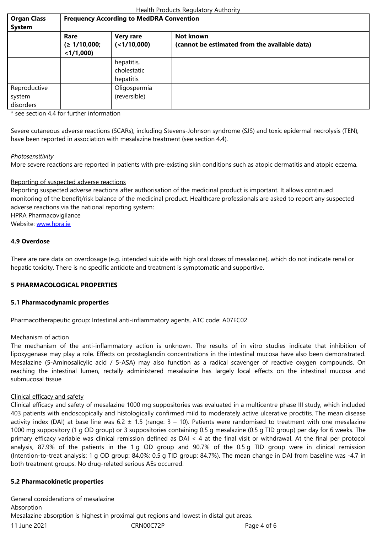|                                     | Rare<br>(≥ 1/10,000;<br>$<$ 1/1,000) | <b>Very rare</b><br>(<1/10,000)        | Not known<br>(cannot be estimated from the available data) |
|-------------------------------------|--------------------------------------|----------------------------------------|------------------------------------------------------------|
|                                     |                                      | hepatitis,<br>cholestatic<br>hepatitis |                                                            |
| Reproductive<br>system<br>disorders |                                      | Oligospermia<br>(reversible)           |                                                            |

\* see section 4.4 for further information

Severe cutaneous adverse reactions (SCARs), including Stevens-Johnson syndrome (SJS) and toxic epidermal necrolysis (TEN), have been reported in association with mesalazine treatment (see section 4.4).

#### *Photosensitivity*

More severe reactions are reported in patients with pre-existing skin conditions such as atopic dermatitis and atopic eczema.

#### Reporting of suspected adverse reactions

Reporting suspected adverse reactions after authorisation of the medicinal product is important. It allows continued monitoring of the benefit/risk balance of the medicinal product. Healthcare professionals are asked to report any suspected adverse reactions via the national reporting system:

HPRA Pharmacovigilance

Website: www.hpra.ie

## **4.9 Overdose**

There ar[e rare data on](http://www.hpra.ie/) overdosage (e.g. intended suicide with high oral doses of mesalazine), which do not indicate renal or hepatic toxicity. There is no specific antidote and treatment is symptomatic and supportive.

#### **5 PHARMACOLOGICAL PROPERTIES**

#### **5.1 Pharmacodynamic properties**

Pharmacotherapeutic group: Intestinal anti-inflammatory agents, ATC code: A07EC02

#### Mechanism of action

The mechanism of the anti-inflammatory action is unknown. The results of in vitro studies indicate that inhibition of lipoxygenase may play a role. Effects on prostaglandin concentrations in the intestinal mucosa have also been demonstrated. Mesalazine (5-Aminosalicylic acid / 5-ASA) may also function as a radical scavenger of reactive oxygen compounds. On reaching the intestinal lumen, rectally administered mesalazine has largely local effects on the intestinal mucosa and submucosal tissue

#### Clinical efficacy and safety

Clinical efficacy and safety of mesalazine 1000 mg suppositories was evaluated in a multicentre phase III study, which included 403 patients with endoscopically and histologically confirmed mild to moderately active ulcerative proctitis. The mean disease activity index (DAI) at base line was  $6.2 \pm 1.5$  (range:  $3 - 10$ ). Patients were randomised to treatment with one mesalazine 1000 mg suppository (1 g OD group) or 3 suppositories containing 0.5 g mesalazine (0.5 g TID group) per day for 6 weeks. The primary efficacy variable was clinical remission defined as DAI < 4 at the final visit or withdrawal. At the final per protocol analysis, 87.9% of the patients in the 1 g OD group and 90.7% of the 0.5 g TID group were in clinical remission (Intention-to-treat analysis: 1 g OD group: 84.0%; 0.5 g TID group: 84.7%). The mean change in DAI from baseline was -4.7 in both treatment groups. No drug-related serious AEs occurred.

#### **5.2 Pharmacokinetic properties**

11 June 2021 **CRNOOC72P** CRNOOC72P Page 4 of 6 General considerations of mesalazine **Absorption** Mesalazine absorption is highest in proximal gut regions and lowest in distal gut areas.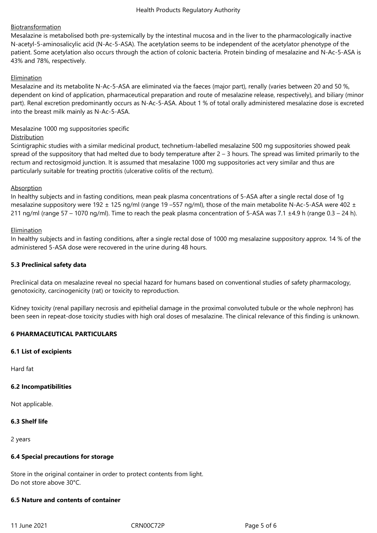# Biotransformation

Mesalazine is metabolised both pre-systemically by the intestinal mucosa and in the liver to the pharmacologically inactive N-acetyl-5-aminosalicylic acid (N-Ac-5-ASA). The acetylation seems to be independent of the acetylator phenotype of the patient. Some acetylation also occurs through the action of colonic bacteria. Protein binding of mesalazine and N-Ac-5-ASA is 43% and 78%, respectively.

## Elimination

Mesalazine and its metabolite N-Ac-5-ASA are eliminated via the faeces (major part), renally (varies between 20 and 50 %, dependent on kind of application, pharmaceutical preparation and route of mesalazine release, respectively), and biliary (minor part). Renal excretion predominantly occurs as N-Ac-5-ASA. About 1 % of total orally administered mesalazine dose is excreted into the breast milk mainly as N-Ac-5-ASA.

## Mesalazine 1000 mg suppositories specific

#### **Distribution**

Scintigraphic studies with a similar medicinal product, technetium-labelled mesalazine 500 mg suppositories showed peak spread of the suppository that had melted due to body temperature after  $2 - 3$  hours. The spread was limited primarily to the rectum and rectosigmoid junction. It is assumed that mesalazine 1000 mg suppositories act very similar and thus are particularly suitable for treating proctitis (ulcerative colitis of the rectum).

## Absorption

In healthy subjects and in fasting conditions, mean peak plasma concentrations of 5-ASA after a single rectal dose of 1g mesalazine suppository were 192  $\pm$  125 ng/ml (range 19 –557 ng/ml), those of the main metabolite N-Ac-5-ASA were 402  $\pm$ 211 ng/ml (range 57 – 1070 ng/ml). Time to reach the peak plasma concentration of 5-ASA was 7.1  $\pm$ 4.9 h (range 0.3 – 24 h).

## **Elimination**

In healthy subjects and in fasting conditions, after a single rectal dose of 1000 mg mesalazine suppository approx. 14 % of the administered 5-ASA dose were recovered in the urine during 48 hours.

#### **5.3 Preclinical safety data**

Preclinical data on mesalazine reveal no special hazard for humans based on conventional studies of safety pharmacology, genotoxicity, carcinogenicity (rat) or toxicity to reproduction.

Kidney toxicity (renal papillary necrosis and epithelial damage in the proximal convoluted tubule or the whole nephron) has been seen in repeat-dose toxicity studies with high oral doses of mesalazine. The clinical relevance of this finding is unknown.

#### **6 PHARMACEUTICAL PARTICULARS**

#### **6.1 List of excipients**

Hard fat

#### **6.2 Incompatibilities**

Not applicable.

#### **6.3 Shelf life**

2 years

#### **6.4 Special precautions for storage**

Store in the original container in order to protect contents from light. Do not store above 30°C.

#### **6.5 Nature and contents of container**